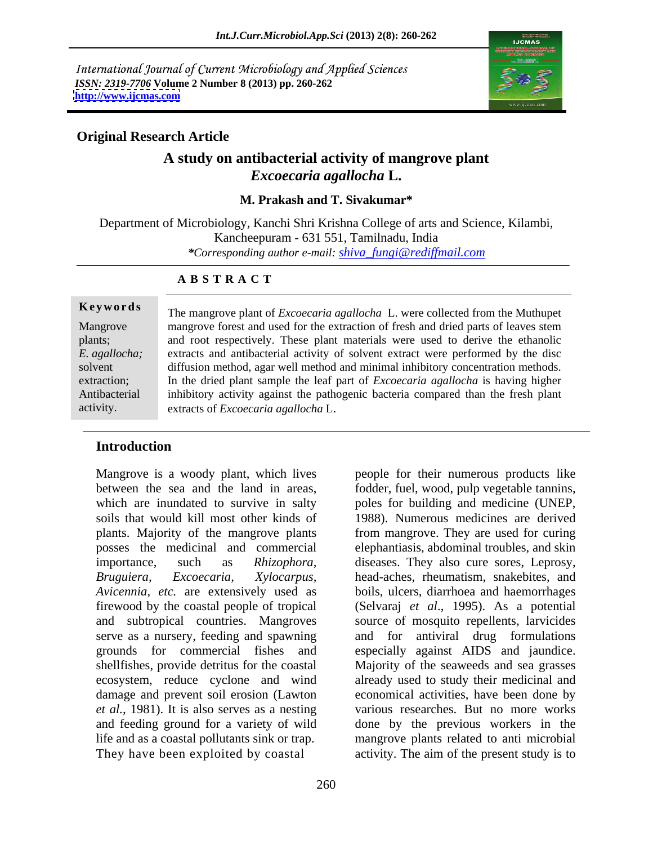International Journal of Current Microbiology and Applied Sciences *ISSN: 2319-7706* **Volume 2 Number 8 (2013) pp. 260-262 <http://www.ijcmas.com>**



# **A study on antibacterial activity of mangrove plant** *Excoecaria agallocha* **L.**

### **M. Prakash and T. Sivakumar\***

Department of Microbiology, Kanchi Shri Krishna College of arts and Science, Kilambi, Kancheepuram - 631 551, Tamilnadu, India *\*Corresponding author e-mail: shiva\_fungi@rediffmail.com*

### **A B S T R A C T**

**Ke ywo rds** The mangrove plant of *Excoecaria agallocha* L. were collected from the Muthupet Mangrove mangrove forest and used for the extraction of fresh and dried parts of leaves stem plants; and root respectively. These plant materials were used to derive the ethanolic *E. agallocha;* extracts and antibacterial activity of solvent extract were performed by the disc solvent diffusion method, agar well method and minimal inhibitory concentration methods. extraction; In the dried plant sample the leaf part of *Excoecaria agallocha* is having higher Antibacterial inhibitory activity against the pathogenic bacteria compared than the fresh plant activity. extracts of *Excoecaria agallocha* L.

## **Introduction**

Mangrove is a woody plant, which lives people for their numerous products like *Avicennia, etc.* are extensively used as shellfishes, provide detritus for the coastal

between the sea and the land in areas, fodder, fuel, wood, pulp vegetable tannins, which are inundated to survive in salty poles for building and medicine (UNEP, soils that would kill most other kinds of 1988). Numerous medicines are derived plants. Majority of the mangrove plants from mangrove. They are used for curing posses the medicinal and commercial elephantiasis, abdominal troubles, and skin importance, such as *Rhizophora,*  diseases. They also cure sores, Leprosy, *Bruguiera, Excoecaria, Xylocarpus,* head-aches, rheumatism, snakebites, and firewood by the coastal people of tropical (Selvaraj *et al*., 1995). As a potential and subtropical countries. Mangroves source of mosquito repellents, larvicides serve as a nursery, feeding and spawning and for antiviral drug formulations grounds for commercial fishes and especially against AIDS and jaundice. ecosystem, reduce cyclone and wind already used to study their medicinal and damage and prevent soil erosion (Lawton economical activities, have been done by *et al.,* 1981). It is also serves as a nesting various researches. But no more works and feeding ground for a variety of wild done by the previous workers in the life and as a coastal pollutants sink or trap. mangrove plants related to anti microbial They have been exploited by coastal activity. The aim of the present study is to boils, ulcers, diarrhoea and haemorrhages Majority of the seaweeds and sea grasses

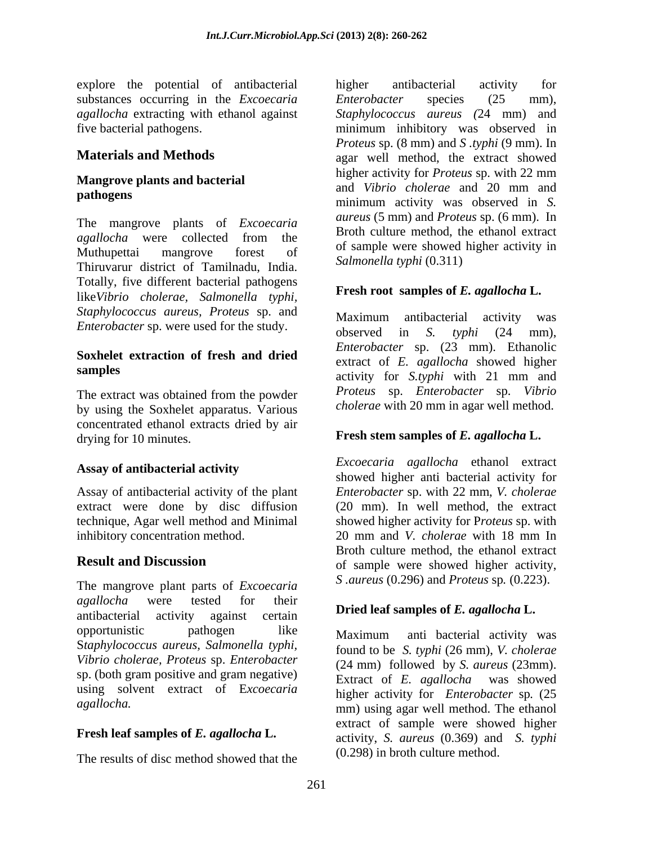explore the potential of antibacterial substances occurring in the *Excoecaria* Enterobacter species (25 mm), *agallocha* extracting with ethanol against

The mangrove plants of *Excoecaria*  Thiruvarur district of Tamilnadu, India. Totally, five different bacterial pathogens like*Vibrio cholerae, Salmonella typhi, Staphylococcus aureus, Proteus* sp. and

# **Soxhelet extraction of fresh and dried**

The extract was obtained from the powder by using the Soxhelet apparatus. Various concentrated ethanol extracts dried by air drying for 10 minutes. **Fresh stem samples of** *E. agallocha* **L.**

### **Assay of antibacterial activity**

inhibitory concentration method. 20 mm and V. cholerae with 18 mm In

The mangrove plant parts of *Excoecaria* S. *aureus* (0.296) and *Proteus* sp. (0.223). *agallocha* were tested for their antibacterial activity against certain **Different Delity Different Algenturian** E. opportunistic pathogen like Maximum anti bacterial activity was S*taphylococcus aureus, Salmonella typhi, Vibrio cholerae, Proteus* sp. *Enterobacter* sp. (both gram positive and gram negative) using solvent extract of E*xcoecaria* 

### **Fresh leaf samples of** *E. agallocha* **L.**

The results of disc method showed that the

five bacterial pathogens. minimum inhibitory was observed in **Materials and Methods** agar well method, the extract showed **Mangrove plants and bacterial** higher activity for *Proteus* sp. with 22 mm and *Vibrio cholerae* and 20 mm and pathogens<br>
minimum activity was observed in *S*. *agallocha* were collected from the **EXECUTE COLLECTE** and the contract Muthupettai mangrove forest of  $\frac{0.8}{1.2}$  Muthuper activity in higher antibacterial activity for *Enterobacter* species (25 mm), *Staphylococcus aureus (*24 mm) and *Proteus* sp. (8 mm) and *S .typhi* (9 mm). In higher activity for *Proteus* sp. with 22 mm and *Vibrio cholerae* and 20 mm and *aureus* (5 mm) and *Proteus* sp. (6 mm). In Broth culture method, the ethanol extract of sample were showed higher activity in *Salmonella typhi* (0.311)

### **Fresh root samples of** *E. agallocha* **L.**

*Enterobacter* sp. were used for the study.<br>
observed in S. typhi (24 mm), **samples** activity for *S.typhi* with 21 mm and Maximum antibacterial activity was observed in *S. typhi* (24 mm), *Enterobacter* sp. (23 mm). Ethanolic extract of *E. agallocha* showed higher activity for *S.typhi* with 21 mm and *Proteus* sp. *Enterobacter* sp. *Vibrio cholerae* with 20 mm in agar well method.

Assay of antibacterial activity of the plant *Enterobacter* sp. with 22 mm, *V. cholerae* extract were done by disc diffusion (20 mm). In well method, the extract technique, Agar well method and Minimal showed higher activity for P*roteus* sp. with **Result and Discussion** of sample were showed higher activity, *Excoecaria agallocha* ethanol extract showed higher anti bacterial activity for 20 mm and *V. cholerae* with 18 mm In Broth culture method, the ethanol extract of sample were showed higher activity, *S .aureus* (0.296) and *Proteus* sp*.* (0.223).

### **Dried leaf samples of** *E. agallocha* **L.**

*agallocha.*  mm) using agar well method. The ethanol Maximum anti bacterial activity was found to be *S. typhi* (26 mm), *V. cholerae* (24 mm) followed by *S. aureus* (23mm). Extract of *E. agallocha* was showed higher activity for *Enterobacter* sp*.* (25 extract of sample were showed higher activity, *S. aureus* (0.369) and *S. typhi* (0.298) in broth culture method.